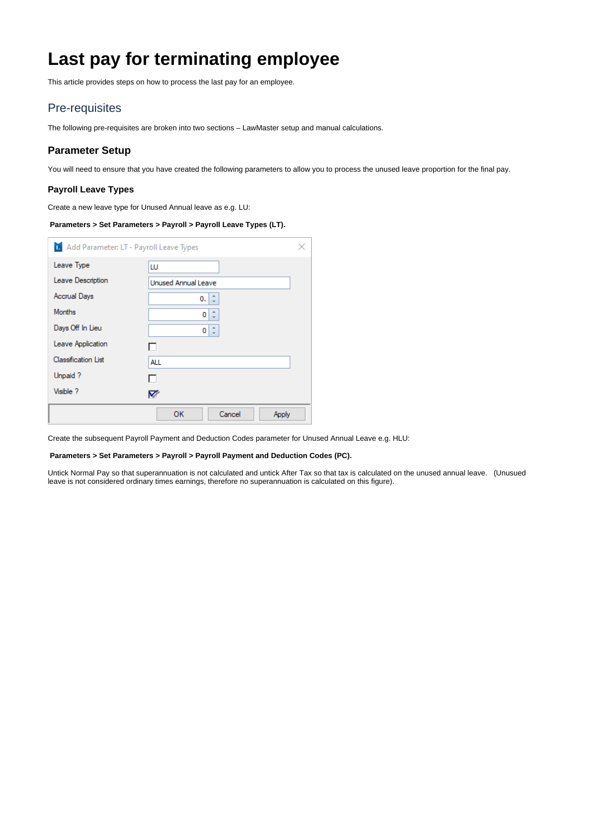# <span id="page-0-0"></span>**Last pay for terminating employee**

This article provides steps on how to process the last pay for an employee.

# Pre-requisites

The following pre-requisites are broken into two sections – LawMaster setup and manual calculations.

## **Parameter Setup**

You will need to ensure that you have created the following parameters to allow you to process the unused leave proportion for the final pay.

### **Payroll Leave Types**

Create a new leave type for Unused Annual leave as e.g. LU:

## **Parameters > Set Parameters > Payroll > Payroll Leave Types (LT).**

| 1. Add Parameter: LT - Payroll Leave Types |                            |  |
|--------------------------------------------|----------------------------|--|
| Leave Type                                 | LU                         |  |
| Leave Description                          | <b>Unused Annual Leave</b> |  |
| <b>Accrual Days</b>                        | 0.                         |  |
| <b>Months</b>                              | 0                          |  |
| Days Off In Lieu                           | 0                          |  |
| Leave Application                          |                            |  |
| <b>Classification List</b>                 | ALL                        |  |
| Unpaid ?                                   |                            |  |
| Visible ?                                  | M                          |  |
|                                            | OK<br>Cancel<br>Apply      |  |

Create the subsequent Payroll Payment and Deduction Codes parameter for Unused Annual Leave e.g. HLU:

#### **Parameters > Set Parameters > Payroll > Payroll Payment and Deduction Codes (PC).**

Untick Normal Pay so that superannuation is not calculated and untick After Tax so that tax is calculated on the unused annual leave. (Unusued leave is not considered ordinary times earnings, therefore no superannuation is calculated on this figure).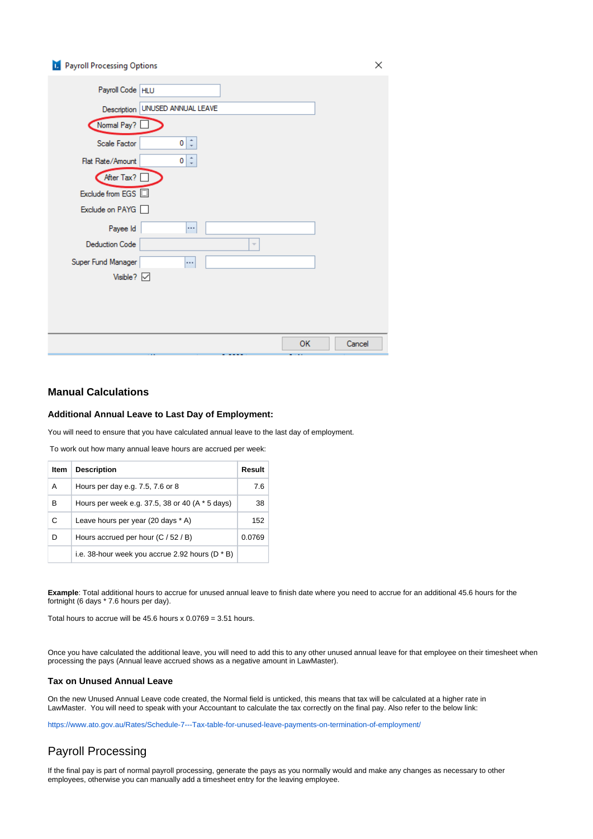## **D** Payroll Processing Options

| Payroll Code   HLU       |                                   |                          |        |
|--------------------------|-----------------------------------|--------------------------|--------|
|                          | Description   UNUSED ANNUAL LEAVE |                          |        |
| Normal Pay?              |                                   |                          |        |
| Scale Factor             | $0 \mid z$                        |                          |        |
| Flat Rate/Amount         | $\hat{\mathbb{I}}$<br>0           |                          |        |
| After Tax? [             |                                   |                          |        |
| Exclude from EGS         |                                   |                          |        |
| Exclude on PAYG a        |                                   |                          |        |
| Payee Id                 | $\cdots$                          |                          |        |
| <b>Deduction Code</b>    |                                   | $\overline{\phantom{a}}$ |        |
| Super Fund Manager       | $\cdots$                          |                          |        |
| Visible? $\triangledown$ |                                   |                          |        |
|                          |                                   |                          |        |
|                          |                                   |                          |        |
|                          |                                   |                          |        |
|                          |                                   | OK                       | Cancel |

## **Manual Calculations**

#### **Additional Annual Leave to Last Day of Employment:**

You will need to ensure that you have calculated annual leave to the last day of employment.

To work out how many annual leave hours are accrued per week:

| Item | <b>Description</b>                                | Result |
|------|---------------------------------------------------|--------|
| A    | Hours per day e.g. 7.5, 7.6 or 8                  | 7.6    |
| в    | Hours per week e.g. 37.5, 38 or 40 (A * 5 days)   | 38     |
| C    | Leave hours per year (20 days * A)                | 152    |
| D    | Hours accrued per hour (C / 52 / B)               | 0.0769 |
|      | i.e. 38-hour week you accrue 2.92 hours $(D * B)$ |        |

**Example**: Total additional hours to accrue for unused annual leave to finish date where you need to accrue for an additional 45.6 hours for the fortnight (6 days \* 7.6 hours per day).

Total hours to accrue will be 45.6 hours  $x$  0.0769 = 3.51 hours.

Once you have calculated the additional leave, you will need to add this to any other unused annual leave for that employee on their timesheet when processing the pays (Annual leave accrued shows as a negative amount in LawMaster).

#### **Tax on Unused Annual Leave**

On the new Unused Annual Leave code created, the Normal field is unticked, this means that tax will be calculated at a higher rate in LawMaster. You will need to speak with your Accountant to calculate the tax correctly on the final pay. Also refer to the below link:

<https://www.ato.gov.au/Rates/Schedule-7---Tax-table-for-unused-leave-payments-on-termination-of-employment/>

# Payroll Processing

If the final pay is part of normal payroll processing, generate the pays as you normally would and make any changes as necessary to other employees, otherwise you can manually add a timesheet entry for the leaving employee.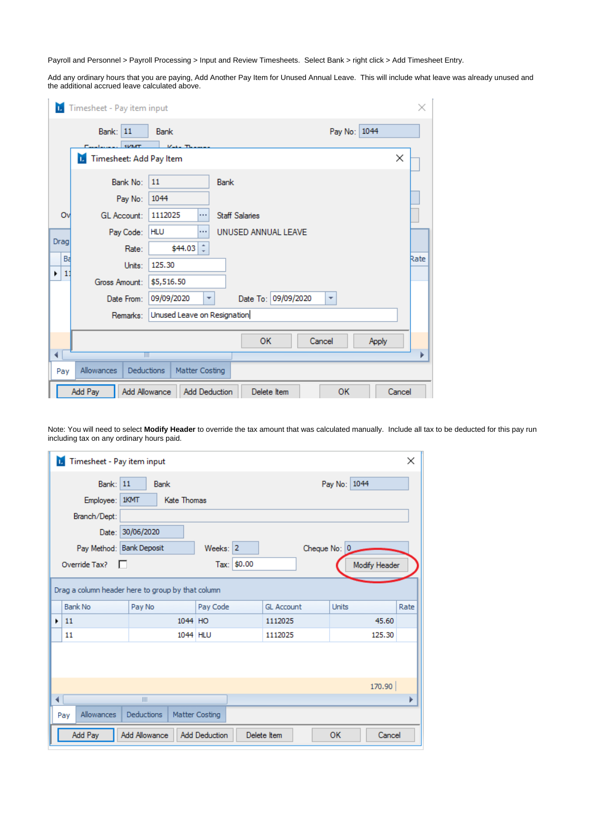Payroll and Personnel > Payroll Processing > Input and Review Timesheets. Select Bank > right click > Add Timesheet Entry.

Add any ordinary hours that you are paying, Add Another Pay Item for Unused Annual Leave. This will include what leave was already unused and the additional accrued leave calculated above.

| п.                  | Timesheet - Pay item input                    |                                                                      | ×    |
|---------------------|-----------------------------------------------|----------------------------------------------------------------------|------|
|                     | <b>Bank: 11</b>                               | Pay No: 1044<br><b>Bank</b>                                          |      |
|                     | <b>SMART</b><br>Timesheet: Add Pay Item<br>п. | ×                                                                    |      |
|                     | Bank No:                                      | 11<br>Bank                                                           |      |
|                     | Pay No:                                       | 1044                                                                 |      |
| Ov                  | <b>GL Account:</b>                            | 1112025<br><b>Staff Salaries</b><br>$\cdots$                         |      |
| Drag                | Pay Code:                                     | <b>HLU</b><br>UNUSED ANNUAL LEAVE<br>                                |      |
|                     | Rate:                                         | $\hat{z}$<br>\$44.03                                                 |      |
| Bá                  | Units:                                        | 125.30                                                               | Rate |
| 1 <sup>7</sup><br>٠ | Gross Amount:                                 | \$5,516.50                                                           |      |
|                     | Date From:                                    | Date To: 09/09/2020<br>09/09/2020<br>۰<br>$\overline{\mathbf{v}}$    |      |
|                     | Remarks:                                      | Unused Leave on Resignation                                          |      |
|                     |                                               | <b>OK</b><br>Cancel<br>Apply                                         |      |
| ∢                   | TIT                                           |                                                                      |      |
|                     |                                               |                                                                      |      |
| Pay                 | Allowances<br><b>Deductions</b>               | Matter Costing                                                       |      |
|                     | Add Pay                                       | Add Allowance<br>OK<br><b>Add Deduction</b><br>Delete Item<br>Cancel |      |

Note: You will need to select **Modify Header** to override the tax amount that was calculated manually. Include all tax to be deducted for this pay run including tax on any ordinary hours paid.

| Timesheet - Pay item input<br>п. |                                                      |                      |                   |               | ×    |  |  |  |  |  |  |
|----------------------------------|------------------------------------------------------|----------------------|-------------------|---------------|------|--|--|--|--|--|--|
| <b>Bank: 11</b><br>Employee:     | <b>Bank</b><br>1KMT<br><b>Kate Thomas</b>            |                      |                   | Pay No: 1044  |      |  |  |  |  |  |  |
| Branch/Dept:                     |                                                      |                      |                   |               |      |  |  |  |  |  |  |
| Date:                            | 30/06/2020                                           |                      |                   |               |      |  |  |  |  |  |  |
|                                  | Pay Method: Bank Deposit<br>Weeks: 2<br>Cheque No: 0 |                      |                   |               |      |  |  |  |  |  |  |
| Override Tax?                    |                                                      | Tax: \$0.00          |                   | Modify Header |      |  |  |  |  |  |  |
|                                  | Drag a column header here to group by that column    |                      |                   |               |      |  |  |  |  |  |  |
| <b>Bank No</b>                   | Pay No                                               | Pay Code             | <b>GL Account</b> | <b>Units</b>  | Rate |  |  |  |  |  |  |
| 11<br>٠                          | 1044 HO                                              |                      | 1112025           | 45.60         |      |  |  |  |  |  |  |
| 11                               |                                                      | 1044 HLU             | 1112025           | 125.30        |      |  |  |  |  |  |  |
|                                  |                                                      |                      |                   |               |      |  |  |  |  |  |  |
|                                  |                                                      |                      |                   | 170.90        |      |  |  |  |  |  |  |
| ∢                                | III                                                  |                      |                   |               |      |  |  |  |  |  |  |
| Allowances<br>Pay                | Deductions                                           | Matter Costing       |                   |               |      |  |  |  |  |  |  |
| Add Pay                          | <b>Add Allowance</b>                                 | <b>Add Deduction</b> | Delete Item       | OK<br>Cancel  |      |  |  |  |  |  |  |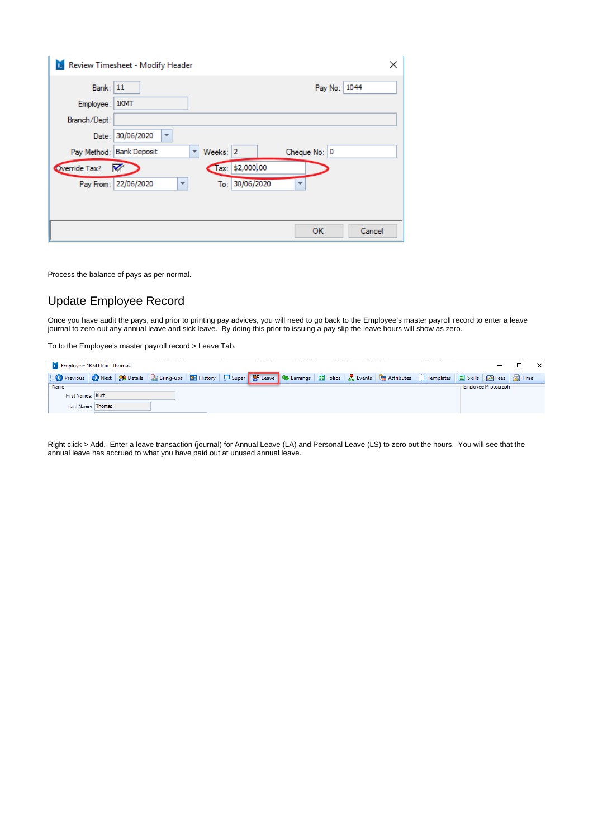|                 | <b>D.</b> Review Timesheet - Modify Header       |          |                 |              |              |        | × |
|-----------------|--------------------------------------------------|----------|-----------------|--------------|--------------|--------|---|
| <b>Bank: 11</b> |                                                  |          |                 |              | Pay No: 1044 |        |   |
| Employee:       | 1KMT                                             |          |                 |              |              |        |   |
| Branch/Dept:    |                                                  |          |                 |              |              |        |   |
| Date:           | 30/06/2020<br>$\overline{\phantom{a}}$           |          |                 |              |              |        |   |
| Pay Method:     | <b>Bank Deposit</b>                              | Weeks: 2 |                 | Cheque No: 0 |              |        |   |
| Override Tax?   | ☑                                                |          | Tax: \$2,000,00 |              |              |        |   |
|                 | Pay From: 22/06/2020<br>$\overline{\phantom{a}}$ |          | To: 30/06/2020  |              |              |        |   |
|                 |                                                  |          |                 |              |              |        |   |
|                 |                                                  |          |                 |              |              |        |   |
|                 |                                                  |          |                 |              | OK           | Cancel |   |

Process the balance of pays as per normal.

# Update Employee Record

Once you have audit the pays, and prior to printing pay advices, you will need to go back to the Employee's master payroll record to enter a leave journal to zero out any annual leave and sick leave. By doing this prior to issuing a pay slip the leave hours will show as zero.

To to the Employee's master payroll record > Leave Tab.

| <b>Employee: 1KMT Kurt Thomas</b> |                   |  |  |  |  |  |                     |  |
|-----------------------------------|-------------------|--|--|--|--|--|---------------------|--|
|                                   |                   |  |  |  |  |  |                     |  |
| Name                              |                   |  |  |  |  |  | Employee Photograph |  |
| First Names: Kurt                 |                   |  |  |  |  |  |                     |  |
|                                   | Last Name: Thomas |  |  |  |  |  |                     |  |

Right click > Add. Enter a leave transaction (journal) for Annual Leave (LA) and Personal Leave (LS) to zero out the hours. You will see that the annual leave has accrued to what you have paid out at unused annual leave.